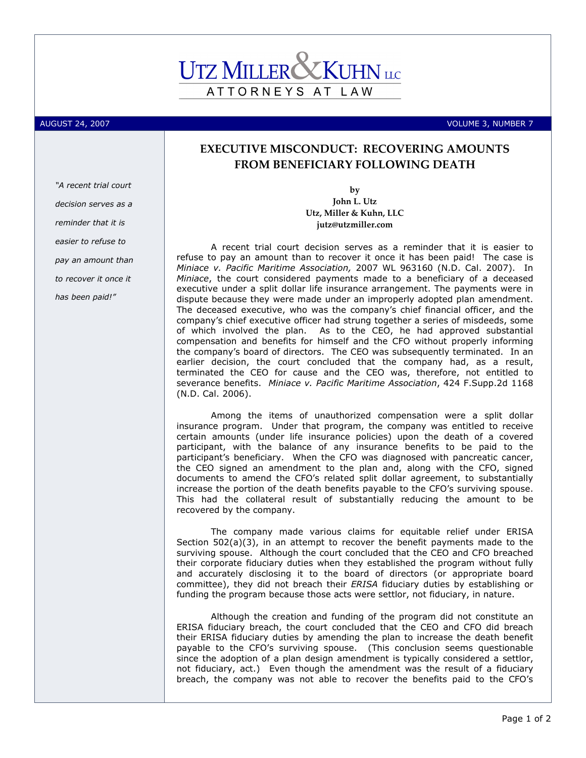## ATTORNEYS AT LAW

## AUGUST 24, 2007 VOLUME 3, NUMBER 7

"A recent trial court decision serves as a reminder that it is easier to refuse to pay an amount than to recover it once it has been paid!"

## EXECUTIVE MISCONDUCT: RECOVERING AMOUNTS FROM BENEFICIARY FOLLOWING DEATH

by John L. Utz Utz, Miller & Kuhn, LLC jutz@utzmiller.com

A recent trial court decision serves as a reminder that it is easier to refuse to pay an amount than to recover it once it has been paid! The case is Miniace v. Pacific Maritime Association, 2007 WL 963160 (N.D. Cal. 2007). In Miniace, the court considered payments made to a beneficiary of a deceased executive under a split dollar life insurance arrangement. The payments were in dispute because they were made under an improperly adopted plan amendment. The deceased executive, who was the company's chief financial officer, and the company's chief executive officer had strung together a series of misdeeds, some of which involved the plan. As to the CEO, he had approved substantial compensation and benefits for himself and the CFO without properly informing the company's board of directors. The CEO was subsequently terminated. In an earlier decision, the court concluded that the company had, as a result, terminated the CEO for cause and the CEO was, therefore, not entitled to severance benefits. Miniace v. Pacific Maritime Association, 424 F.Supp.2d 1168 (N.D. Cal. 2006).

Among the items of unauthorized compensation were a split dollar insurance program. Under that program, the company was entitled to receive certain amounts (under life insurance policies) upon the death of a covered participant, with the balance of any insurance benefits to be paid to the participant's beneficiary. When the CFO was diagnosed with pancreatic cancer, the CEO signed an amendment to the plan and, along with the CFO, signed documents to amend the CFO's related split dollar agreement, to substantially increase the portion of the death benefits payable to the CFO's surviving spouse. This had the collateral result of substantially reducing the amount to be recovered by the company.

The company made various claims for equitable relief under ERISA Section 502(a)(3), in an attempt to recover the benefit payments made to the surviving spouse. Although the court concluded that the CEO and CFO breached their corporate fiduciary duties when they established the program without fully and accurately disclosing it to the board of directors (or appropriate board committee), they did not breach their ERISA fiduciary duties by establishing or funding the program because those acts were settlor, not fiduciary, in nature.

Although the creation and funding of the program did not constitute an ERISA fiduciary breach, the court concluded that the CEO and CFO did breach their ERISA fiduciary duties by amending the plan to increase the death benefit payable to the CFO's surviving spouse. (This conclusion seems questionable since the adoption of a plan design amendment is typically considered a settlor, not fiduciary, act.) Even though the amendment was the result of a fiduciary breach, the company was not able to recover the benefits paid to the CFO's